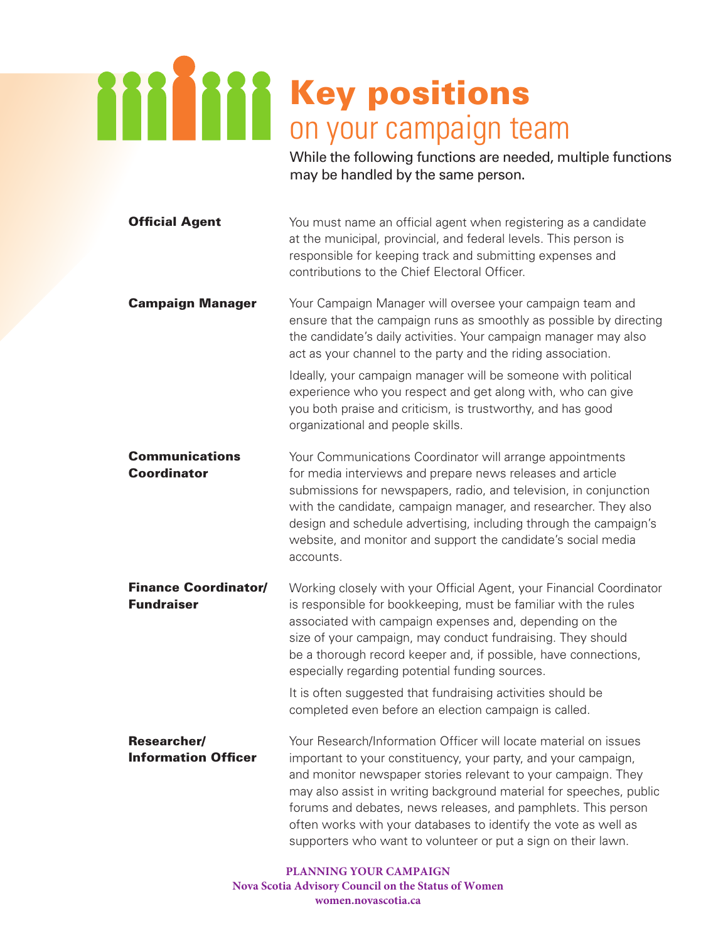## Key positions on your campaign team

While the following functions are needed, multiple functions may be handled by the same person.

| <b>Official Agent</b>                            | You must name an official agent when registering as a candidate<br>at the municipal, provincial, and federal levels. This person is<br>responsible for keeping track and submitting expenses and<br>contributions to the Chief Electoral Officer.                                                                                                                                                                                                                                                       |
|--------------------------------------------------|---------------------------------------------------------------------------------------------------------------------------------------------------------------------------------------------------------------------------------------------------------------------------------------------------------------------------------------------------------------------------------------------------------------------------------------------------------------------------------------------------------|
| <b>Campaign Manager</b>                          | Your Campaign Manager will oversee your campaign team and<br>ensure that the campaign runs as smoothly as possible by directing<br>the candidate's daily activities. Your campaign manager may also<br>act as your channel to the party and the riding association.<br>Ideally, your campaign manager will be someone with political<br>experience who you respect and get along with, who can give<br>you both praise and criticism, is trustworthy, and has good<br>organizational and people skills. |
| <b>Communications</b><br><b>Coordinator</b>      | Your Communications Coordinator will arrange appointments<br>for media interviews and prepare news releases and article<br>submissions for newspapers, radio, and television, in conjunction<br>with the candidate, campaign manager, and researcher. They also<br>design and schedule advertising, including through the campaign's<br>website, and monitor and support the candidate's social media<br>accounts.                                                                                      |
| <b>Finance Coordinator/</b><br><b>Fundraiser</b> | Working closely with your Official Agent, your Financial Coordinator<br>is responsible for bookkeeping, must be familiar with the rules<br>associated with campaign expenses and, depending on the<br>size of your campaign, may conduct fundraising. They should<br>be a thorough record keeper and, if possible, have connections,<br>especially regarding potential funding sources.                                                                                                                 |
|                                                  | It is often suggested that fundraising activities should be<br>completed even before an election campaign is called.                                                                                                                                                                                                                                                                                                                                                                                    |
| <b>Researcher/</b><br><b>Information Officer</b> | Your Research/Information Officer will locate material on issues<br>important to your constituency, your party, and your campaign,<br>and monitor newspaper stories relevant to your campaign. They<br>may also assist in writing background material for speeches, public<br>forums and debates, news releases, and pamphlets. This person<br>often works with your databases to identify the vote as well as<br>supporters who want to volunteer or put a sign on their lawn.                         |